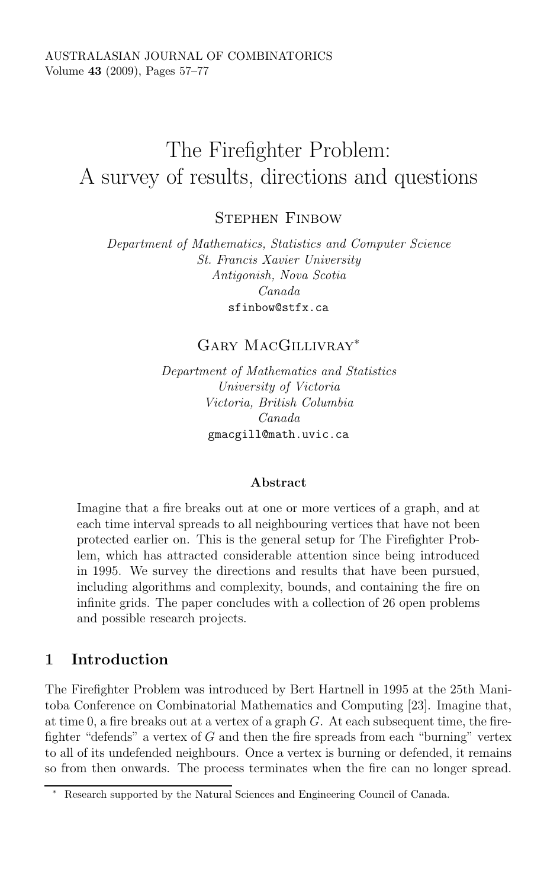# The Firefighter Problem: A survey of results, directions and questions

STEPHEN FINBOW

Department of Mathematics, Statistics and Computer Science St. Francis Xavier University Antigonish, Nova Scotia Canada

# Gary MacGillivray<sup>∗</sup>

Department of Mathematics and Statistics University of Victoria Victoria, British Columbia Canada  $\mathbf{g}$  and  $\mathbf{g}$ 

#### **Abstract**

Imagine that a fire breaks out at one or more vertices of a graph, and at each time interval spreads to all neighbouring vertices that have not been protected earlier on. This is the general setup for The Firefighter Problem, which has attracted considerable attention since being introduced in 1995. We survey the directions and results that have been pursued, including algorithms and complexity, bounds, and containing the fire on infinite grids. The paper concludes with a collection of 26 open problems and possible research projects.

## **1 Introduction**

The Firefighter Problem was introduced by Bert Hartnell in 1995 at the 25th Manitoba Conference on Combinatorial Mathematics and Computing [23]. Imagine that, at time 0, a fire breaks out at a vertex of a graph  $G$ . At each subsequent time, the firefighter "defends" a vertex of  $G$  and then the fire spreads from each "burning" vertex to all of its undefended neighbours. Once a vertex is burning or defended, it remains so from then onwards. The process terminates when the fire can no longer spread.

<sup>∗</sup> Research supported by the Natural Sciences and Engineering Council of Canada.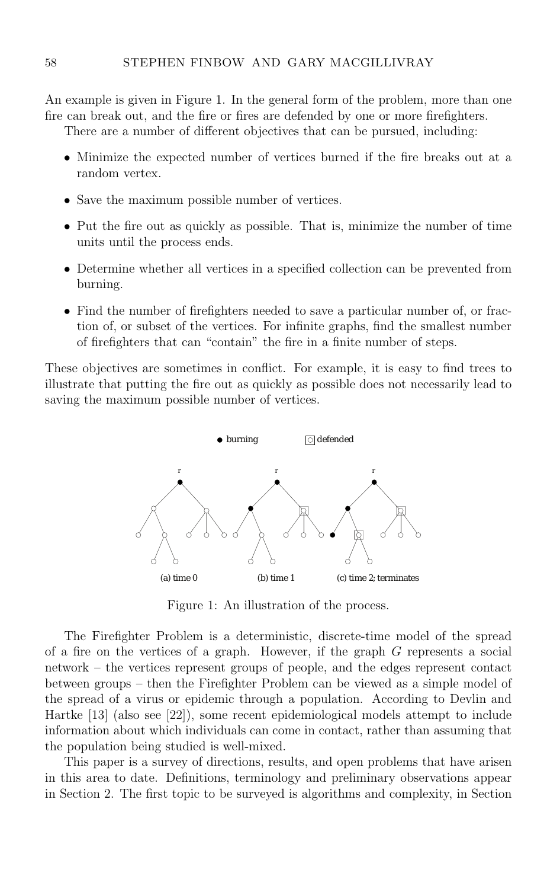An example is given in Figure 1. In the general form of the problem, more than one fire can break out, and the fire or fires are defended by one or more firefighters.

There are a number of different objectives that can be pursued, including:

- Minimize the expected number of vertices burned if the fire breaks out at a random vertex.
- Save the maximum possible number of vertices.
- Put the fire out as quickly as possible. That is, minimize the number of time units until the process ends.
- Determine whether all vertices in a specified collection can be prevented from burning.
- Find the number of firefighters needed to save a particular number of, or fraction of, or subset of the vertices. For infinite graphs, find the smallest number of firefighters that can "contain" the fire in a finite number of steps.

These objectives are sometimes in conflict. For example, it is easy to find trees to illustrate that putting the fire out as quickly as possible does not necessarily lead to saving the maximum possible number of vertices.



Figure 1: An illustration of the process.

The Firefighter Problem is a deterministic, discrete-time model of the spread of a fire on the vertices of a graph. However, if the graph G represents a social network – the vertices represent groups of people, and the edges represent contact between groups – then the Firefighter Problem can be viewed as a simple model of the spread of a virus or epidemic through a population. According to Devlin and Hartke [13] (also see [22]), some recent epidemiological models attempt to include information about which individuals can come in contact, rather than assuming that the population being studied is well-mixed.

This paper is a survey of directions, results, and open problems that have arisen in this area to date. Definitions, terminology and preliminary observations appear in Section 2. The first topic to be surveyed is algorithms and complexity, in Section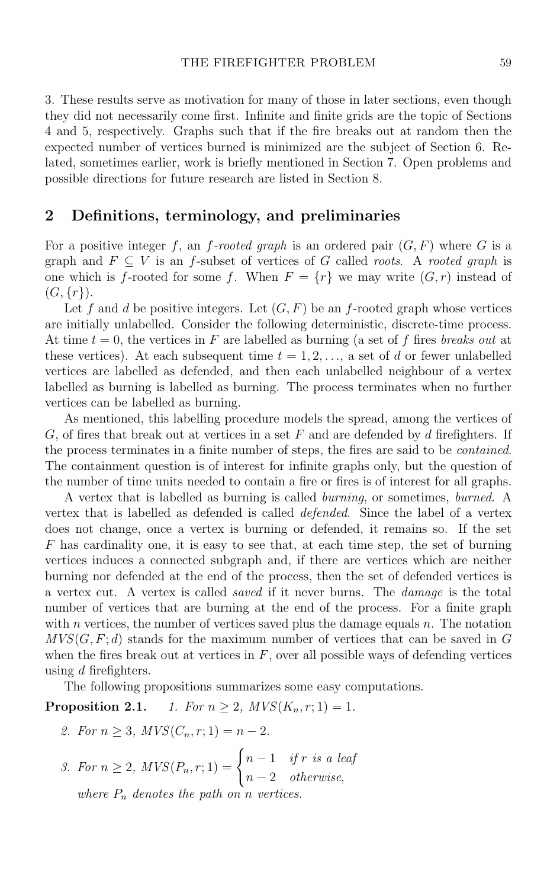3. These results serve as motivation for many of those in later sections, even though they did not necessarily come first. Infinite and finite grids are the topic of Sections 4 and 5, respectively. Graphs such that if the fire breaks out at random then the expected number of vertices burned is minimized are the subject of Section 6. Related, sometimes earlier, work is briefly mentioned in Section 7. Open problems and possible directions for future research are listed in Section 8.

#### **2 Definitions, terminology, and preliminaries**

For a positive integer f, an f-rooted graph is an ordered pair  $(G, F)$  where G is a graph and  $F \subseteq V$  is an f-subset of vertices of G called *roots*. A *rooted graph* is one which is f-rooted for some f. When  $F = \{r\}$  we may write  $(G, r)$  instead of  $(G, \{r\}).$ 

Let f and d be positive integers. Let  $(G, F)$  be an f-rooted graph whose vertices are initially unlabelled. Consider the following deterministic, discrete-time process. At time  $t = 0$ , the vertices in F are labelled as burning (a set of f fires breaks out at these vertices). At each subsequent time  $t = 1, 2, \ldots$ , a set of d or fewer unlabelled vertices are labelled as defended, and then each unlabelled neighbour of a vertex labelled as burning is labelled as burning. The process terminates when no further vertices can be labelled as burning.

As mentioned, this labelling procedure models the spread, among the vertices of  $G$ , of fires that break out at vertices in a set  $F$  and are defended by  $d$  firefighters. If the process terminates in a finite number of steps, the fires are said to be contained. The containment question is of interest for infinite graphs only, but the question of the number of time units needed to contain a fire or fires is of interest for all graphs.

A vertex that is labelled as burning is called burning, or sometimes, burned. A vertex that is labelled as defended is called defended. Since the label of a vertex does not change, once a vertex is burning or defended, it remains so. If the set F has cardinality one, it is easy to see that, at each time step, the set of burning vertices induces a connected subgraph and, if there are vertices which are neither burning nor defended at the end of the process, then the set of defended vertices is a vertex cut. A vertex is called saved if it never burns. The damage is the total number of vertices that are burning at the end of the process. For a finite graph with  $n$  vertices, the number of vertices saved plus the damage equals  $n$ . The notation  $MVS(G, F; d)$  stands for the maximum number of vertices that can be saved in G when the fires break out at vertices in  $F$ , over all possible ways of defending vertices using  $d$  firefighters.

The following propositions summarizes some easy computations.

**Proposition 2.1.** 1. For  $n \ge 2$ ,  $MVS(K_n, r; 1) = 1$ .

- 2. For  $n \geq 3$ ,  $MVS(C_n, r; 1) = n 2$ .
- 3. For  $n \ge 2$ ,  $MVS(P_n, r; 1) = \begin{cases} n-1 & \text{if } r \text{ is a leaf} \\ 0 & \text{if } r \text{ is a leaf} \end{cases}$  $n-2$  otherwise,

where  $P_n$  denotes the path on n vertices.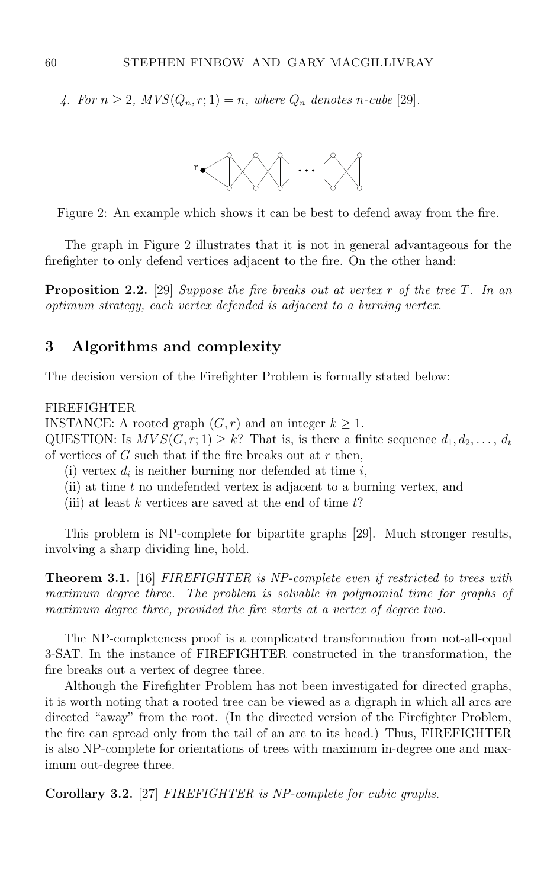4. For  $n \geq 2$ ,  $MVS(Q_n, r; 1) = n$ , where  $Q_n$  denotes n-cube [29].



Figure 2: An example which shows it can be best to defend away from the fire.

The graph in Figure 2 illustrates that it is not in general advantageous for the firefighter to only defend vertices adjacent to the fire. On the other hand:

**Proposition 2.2.** [29] Suppose the fire breaks out at vertex r of the tree T. In an optimum strategy, each vertex defended is adjacent to a burning vertex.

## **3 Algorithms and complexity**

The decision version of the Firefighter Problem is formally stated below:

#### FIREFIGHTER

INSTANCE: A rooted graph  $(G, r)$  and an integer  $k \geq 1$ .

QUESTION: Is  $MVS(G, r; 1) \geq k$ ? That is, is there a finite sequence  $d_1, d_2, \ldots, d_t$ of vertices of  $G$  such that if the fire breaks out at  $r$  then,

- (i) vertex  $d_i$  is neither burning nor defended at time  $i$ ,
- (ii) at time  $t$  no undefended vertex is adjacent to a burning vertex, and
- (iii) at least  $k$  vertices are saved at the end of time  $t$ ?

This problem is NP-complete for bipartite graphs [29]. Much stronger results, involving a sharp dividing line, hold.

**Theorem 3.1.** [16] FIREFIGHTER is NP-complete even if restricted to trees with maximum degree three. The problem is solvable in polynomial time for graphs of maximum degree three, provided the fire starts at a vertex of degree two.

The NP-completeness proof is a complicated transformation from not-all-equal 3-SAT. In the instance of FIREFIGHTER constructed in the transformation, the fire breaks out a vertex of degree three.

Although the Firefighter Problem has not been investigated for directed graphs, it is worth noting that a rooted tree can be viewed as a digraph in which all arcs are directed "away" from the root. (In the directed version of the Firefighter Problem, the fire can spread only from the tail of an arc to its head.) Thus, FIREFIGHTER is also NP-complete for orientations of trees with maximum in-degree one and maximum out-degree three.

**Corollary 3.2.** [27] FIREFIGHTER is NP-complete for cubic graphs.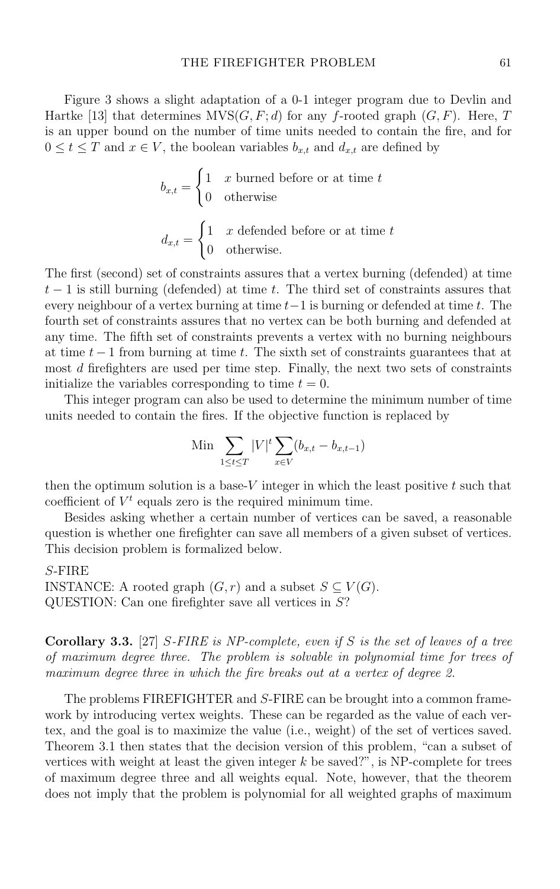Figure 3 shows a slight adaptation of a 0-1 integer program due to Devlin and Hartke [13] that determines  $MVS(G, F; d)$  for any f-rooted graph  $(G, F)$ . Here, T is an upper bound on the number of time units needed to contain the fire, and for  $0 \leq t \leq T$  and  $x \in V$ , the boolean variables  $b_{x,t}$  and  $d_{x,t}$  are defined by

$$
b_{x,t} = \begin{cases} 1 & x \text{ burned before or at time } t \\ 0 & \text{otherwise} \end{cases}
$$

$$
d_{x,t} = \begin{cases} 1 & x \text{ defined before or at time } t \\ 0 & \text{otherwise.} \end{cases}
$$

The first (second) set of constraints assures that a vertex burning (defended) at time  $t-1$  is still burning (defended) at time t. The third set of constraints assures that every neighbour of a vertex burning at time  $t-1$  is burning or defended at time t. The fourth set of constraints assures that no vertex can be both burning and defended at any time. The fifth set of constraints prevents a vertex with no burning neighbours at time  $t-1$  from burning at time t. The sixth set of constraints guarantees that at most d firefighters are used per time step. Finally, the next two sets of constraints initialize the variables corresponding to time  $t = 0$ .

This integer program can also be used to determine the minimum number of time units needed to contain the fires. If the objective function is replaced by

Min 
$$
\sum_{1 \le t \le T} |V|^t \sum_{x \in V} (b_{x,t} - b_{x,t-1})
$$

then the optimum solution is a base- $V$  integer in which the least positive  $t$  such that coefficient of  $V^t$  equals zero is the required minimum time.

Besides asking whether a certain number of vertices can be saved, a reasonable question is whether one firefighter can save all members of a given subset of vertices. This decision problem is formalized below.

#### S-FIRE

INSTANCE: A rooted graph  $(G, r)$  and a subset  $S \subseteq V(G)$ . QUESTION: Can one firefighter save all vertices in S?

**Corollary 3.3.** [27] S-FIRE is NP-complete, even if S is the set of leaves of a tree of maximum degree three. The problem is solvable in polynomial time for trees of maximum degree three in which the fire breaks out at a vertex of degree 2.

The problems FIREFIGHTER and S-FIRE can be brought into a common framework by introducing vertex weights. These can be regarded as the value of each vertex, and the goal is to maximize the value (i.e., weight) of the set of vertices saved. Theorem 3.1 then states that the decision version of this problem, "can a subset of vertices with weight at least the given integer  $k$  be saved?", is NP-complete for trees of maximum degree three and all weights equal. Note, however, that the theorem does not imply that the problem is polynomial for all weighted graphs of maximum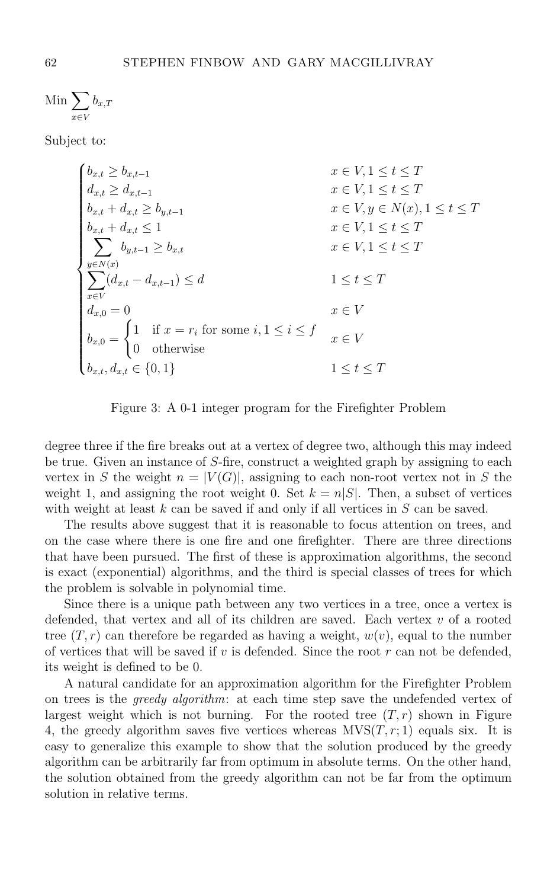Min  $\sum$ *x*∈*V* b*x,T*

Subject to:

$$
\begin{cases}\n b_{x,t} \geq b_{x,t-1} & x \in V, 1 \leq t \leq T \\
d_{x,t} \geq d_{x,t-1} & x \in V, 1 \leq t \leq T \\
b_{x,t} + d_{x,t} \geq b_{y,t-1} & x \in V, y \in N(x), 1 \leq t \leq T \\
b_{x,t} + d_{x,t} \leq 1 & x \in V, 1 \leq t \leq T \\
\sum_{y \in N(x)} b_{y,t-1} \geq b_{x,t} & x \in V, 1 \leq t \leq T \\
\sum_{x \in V} (d_{x,t} - d_{x,t-1}) \leq d & 1 \leq t \leq T \\
d_{x,0} = 0 & x \in V \\
d_{x,0} = \begin{cases}\n 1 & \text{if } x = r_i \text{ for some } i, 1 \leq i \leq f \\
0 & \text{otherwise}\n\end{cases} & x \in V \\
b_{x,t}, d_{x,t} \in \{0, 1\} & 1 \leq t \leq T\n\end{cases}
$$

Figure 3: A 0-1 integer program for the Firefighter Problem

degree three if the fire breaks out at a vertex of degree two, although this may indeed be true. Given an instance of S-fire, construct a weighted graph by assigning to each vertex in S the weight  $n = |V(G)|$ , assigning to each non-root vertex not in S the weight 1, and assigning the root weight 0. Set  $k = n|S|$ . Then, a subset of vertices with weight at least  $k$  can be saved if and only if all vertices in  $S$  can be saved.

The results above suggest that it is reasonable to focus attention on trees, and on the case where there is one fire and one firefighter. There are three directions that have been pursued. The first of these is approximation algorithms, the second is exact (exponential) algorithms, and the third is special classes of trees for which the problem is solvable in polynomial time.

Since there is a unique path between any two vertices in a tree, once a vertex is defended, that vertex and all of its children are saved. Each vertex  $v$  of a rooted tree  $(T, r)$  can therefore be regarded as having a weight,  $w(v)$ , equal to the number of vertices that will be saved if  $v$  is defended. Since the root  $r$  can not be defended, its weight is defined to be 0.

A natural candidate for an approximation algorithm for the Firefighter Problem on trees is the greedy algorithm: at each time step save the undefended vertex of largest weight which is not burning. For the rooted tree  $(T,r)$  shown in Figure 4, the greedy algorithm saves five vertices whereas  $MVS(T, r; 1)$  equals six. It is easy to generalize this example to show that the solution produced by the greedy algorithm can be arbitrarily far from optimum in absolute terms. On the other hand, the solution obtained from the greedy algorithm can not be far from the optimum solution in relative terms.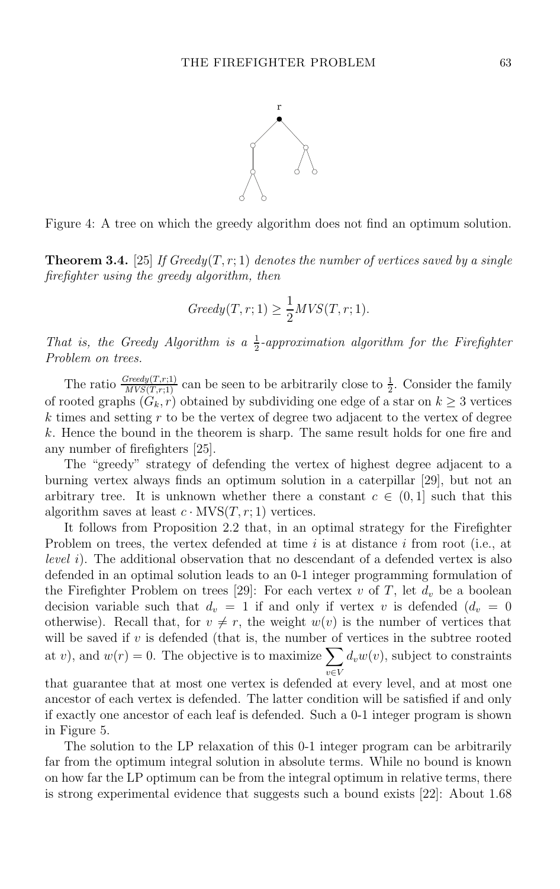

Figure 4: A tree on which the greedy algorithm does not find an optimum solution.

**Theorem 3.4.** [25] If Greedy(T, r; 1) denotes the number of vertices saved by a single firefighter using the greedy algorithm, then

$$
Greedy(T, r; 1) \ge \frac{1}{2}MVS(T, r; 1).
$$

That is, the Greedy Algorithm is a  $\frac{1}{2}$ -approximation algorithm for the Firefighter<br>Problem on trees Problem on trees.

The ratio  $\frac{Greedy(T,r;1)}{MVS(T,r;1)}$  can be seen to be arbitrarily close to  $\frac{1}{2}$ . Consider the family of rooted graphs  $(G_k, r)$  obtained by subdividing one edge of a star on  $k \geq 3$  vertices  $k$  times and setting  $r$  to be the vertex of degree two adjacent to the vertex of degree k. Hence the bound in the theorem is sharp. The same result holds for one fire and any number of firefighters [25].

The "greedy" strategy of defending the vertex of highest degree adjacent to a burning vertex always finds an optimum solution in a caterpillar [29], but not an arbitrary tree. It is unknown whether there a constant  $c \in (0,1]$  such that this algorithm saves at least  $c \cdot \text{MVS}(T,r;1)$  vertices.

It follows from Proposition 2.2 that, in an optimal strategy for the Firefighter Problem on trees, the vertex defended at time  $i$  is at distance  $i$  from root (i.e., at level i). The additional observation that no descendant of a defended vertex is also defended in an optimal solution leads to an 0-1 integer programming formulation of the Firefighter Problem on trees [29]: For each vertex  $v$  of  $T$ , let  $d_v$  be a boolean decision variable such that  $d_v = 1$  if and only if vertex v is defended  $(d_v = 0$ otherwise). Recall that, for  $v \neq r$ , the weight  $w(v)$  is the number of vertices that will be saved if  $v$  is defended (that is, the number of vertices in the subtree rooted at v), and  $w(r) = 0$ . The objective is to maximize  $\sum$ *v*∈*V*  $d_v w(v)$ , subject to constraints

that guarantee that at most one vertex is defended at every level, and at most one ancestor of each vertex is defended. The latter condition will be satisfied if and only if exactly one ancestor of each leaf is defended. Such a 0-1 integer program is shown in Figure 5.

The solution to the LP relaxation of this 0-1 integer program can be arbitrarily far from the optimum integral solution in absolute terms. While no bound is known on how far the LP optimum can be from the integral optimum in relative terms, there is strong experimental evidence that suggests such a bound exists [22]: About 1.68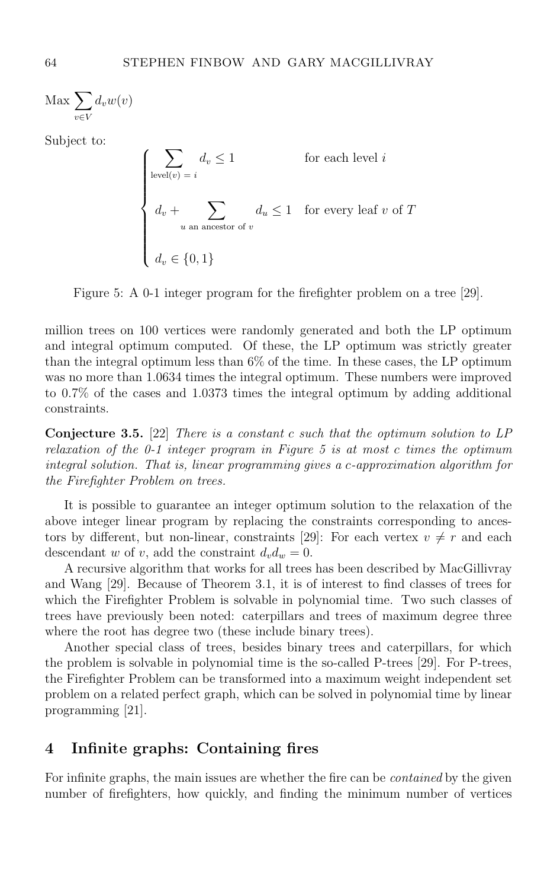$\text{Max } \sum$ *v*∈*V*  $d_v w(v)$ 

Subject to:

 $\Gamma$  $\int$  $\begin{bmatrix} \frac{1}{\sqrt{2\pi}} & \frac{1}{\sqrt{2\pi}} \\ \frac{1}{\sqrt{2\pi}} & \frac{1}{\sqrt{2\pi}} \\ \frac{1}{\sqrt{2\pi}} & \frac{1}{\sqrt{2\pi}} \end{bmatrix}$  $\sum$  $level(v) = i$  $d_v \leq 1$  for each level *i*  $d_v + \sum$ *<sup>u</sup>* an ancestor of *<sup>v</sup>*  $d_u \leq 1$  for every leaf v of T  $d_v \in \{0, 1\}$ 

Figure 5: A 0-1 integer program for the firefighter problem on a tree [29].

million trees on 100 vertices were randomly generated and both the LP optimum and integral optimum computed. Of these, the LP optimum was strictly greater than the integral optimum less than 6% of the time. In these cases, the LP optimum was no more than 1.0634 times the integral optimum. These numbers were improved to 0.7% of the cases and 1.0373 times the integral optimum by adding additional constraints.

**Conjecture 3.5.** [22] There is a constant c such that the optimum solution to LP relaxation of the  $0-1$  integer program in Figure 5 is at most c times the optimum integral solution. That is, linear programming gives a c-approximation algorithm for the Firefighter Problem on trees.

It is possible to guarantee an integer optimum solution to the relaxation of the above integer linear program by replacing the constraints corresponding to ancestors by different, but non-linear, constraints [29]: For each vertex  $v \neq r$  and each descendant w of v, add the constraint  $d_v d_w = 0$ .

A recursive algorithm that works for all trees has been described by MacGillivray and Wang [29]. Because of Theorem 3.1, it is of interest to find classes of trees for which the Firefighter Problem is solvable in polynomial time. Two such classes of trees have previously been noted: caterpillars and trees of maximum degree three where the root has degree two (these include binary trees).

Another special class of trees, besides binary trees and caterpillars, for which the problem is solvable in polynomial time is the so-called P-trees [29]. For P-trees, the Firefighter Problem can be transformed into a maximum weight independent set problem on a related perfect graph, which can be solved in polynomial time by linear programming [21].

## **4 Infinite graphs: Containing fires**

For infinite graphs, the main issues are whether the fire can be contained by the given number of firefighters, how quickly, and finding the minimum number of vertices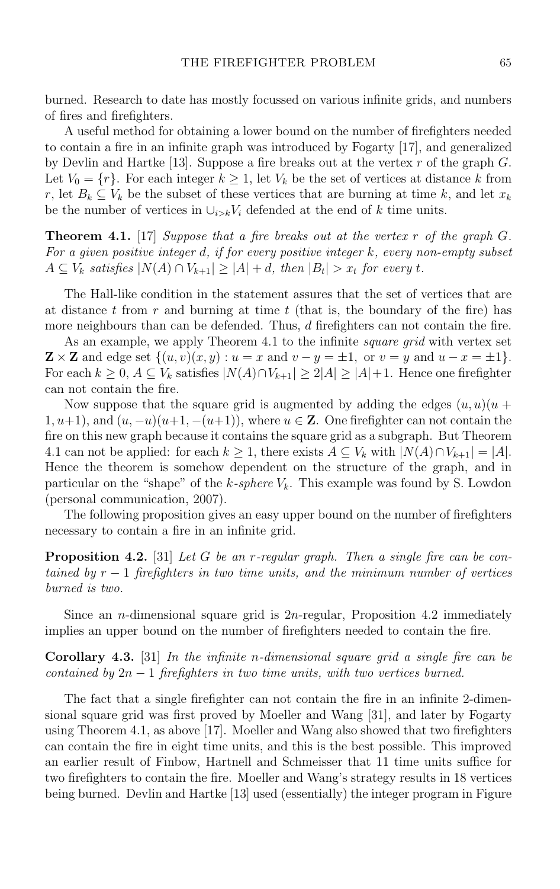burned. Research to date has mostly focussed on various infinite grids, and numbers of fires and firefighters.

A useful method for obtaining a lower bound on the number of firefighters needed to contain a fire in an infinite graph was introduced by Fogarty [17], and generalized by Devlin and Hartke [13]. Suppose a fire breaks out at the vertex  $r$  of the graph  $G$ . Let  $V_0 = \{r\}$ . For each integer  $k \geq 1$ , let  $V_k$  be the set of vertices at distance k from r, let  $B_k \subseteq V_k$  be the subset of these vertices that are burning at time k, and let  $x_k$ be the number of vertices in  $\bigcup_{i>k} V_i$  defended at the end of k time units.

**Theorem 4.1.** [17] Suppose that a fire breaks out at the vertex  $r$  of the graph  $G$ . For a given positive integer d, if for every positive integer  $k$ , every non-empty subset  $A ⊆ V_k$  satisfies  $|N(A) ∩ V_{k+1}| ≥ |A| + d$ , then  $|B_t| > x_t$  for every t.

The Hall-like condition in the statement assures that the set of vertices that are at distance t from  $r$  and burning at time  $t$  (that is, the boundary of the fire) has more neighbours than can be defended. Thus, d firefighters can not contain the fire.

As an example, we apply Theorem 4.1 to the infinite square grid with vertex set  $\mathbf{Z} \times \mathbf{Z}$  and edge set  $\{(u, v)(x, y) : u = x \text{ and } v - y = \pm 1, \text{ or } v = y \text{ and } u - x = \pm 1\}.$ For each  $k ≥ 0$ ,  $A ⊆ V_k$  satisfies  $|N(A) ∩ V_{k+1}| ≥ 2|A| ≥ |A| + 1$ . Hence one firefighter can not contain the fire.

Now suppose that the square grid is augmented by adding the edges  $(u, u)(u +$ 1,  $u+1$ , and  $(u, -u)(u+1, -(u+1))$ , where  $u \in \mathbb{Z}$ . One firefighter can not contain the fire on this new graph because it contains the square grid as a subgraph. But Theorem 4.1 can not be applied: for each  $k \geq 1$ , there exists  $A \subseteq V_k$  with  $|N(A) \cap V_{k+1}| = |A|$ . Hence the theorem is somehow dependent on the structure of the graph, and in particular on the "shape" of the  $k$ -sphere  $V_k$ . This example was found by S. Lowdon (personal communication, 2007).

The following proposition gives an easy upper bound on the number of firefighters necessary to contain a fire in an infinite grid.

**Proposition 4.2.** [31] Let G be an r-regular graph. Then a single fire can be contained by  $r-1$  firefighters in two time units, and the minimum number of vertices burned is two.

Since an n-dimensional square grid is 2n-regular, Proposition 4.2 immediately implies an upper bound on the number of firefighters needed to contain the fire.

**Corollary 4.3.** [31] In the infinite n-dimensional square grid a single fire can be contained by  $2n - 1$  firefighters in two time units, with two vertices burned.

The fact that a single firefighter can not contain the fire in an infinite 2-dimensional square grid was first proved by Moeller and Wang [31], and later by Fogarty using Theorem 4.1, as above [17]. Moeller and Wang also showed that two firefighters can contain the fire in eight time units, and this is the best possible. This improved an earlier result of Finbow, Hartnell and Schmeisser that 11 time units suffice for two firefighters to contain the fire. Moeller and Wang's strategy results in 18 vertices being burned. Devlin and Hartke [13] used (essentially) the integer program in Figure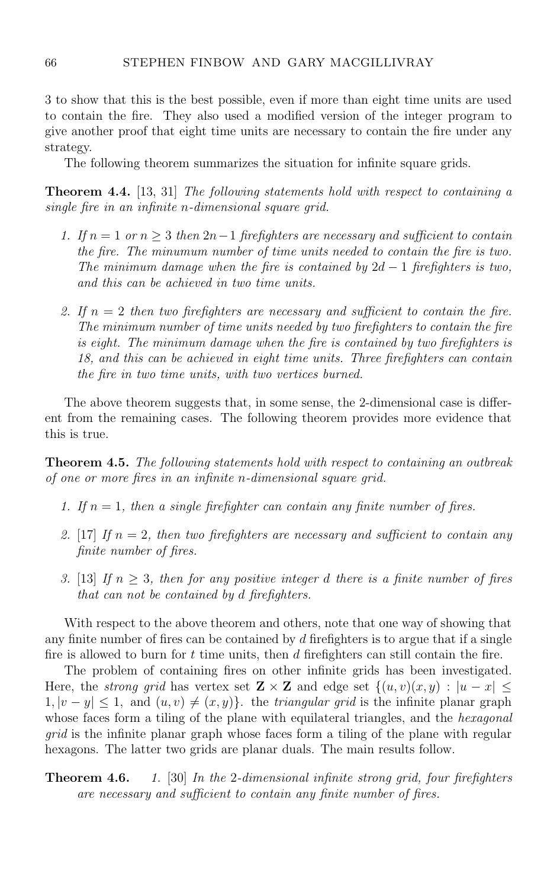3 to show that this is the best possible, even if more than eight time units are used to contain the fire. They also used a modified version of the integer program to give another proof that eight time units are necessary to contain the fire under any strategy.

The following theorem summarizes the situation for infinite square grids.

**Theorem 4.4.** [13, 31] The following statements hold with respect to containing a single fire in an infinite n-dimensional square grid.

- 1. If  $n = 1$  or  $n \geq 3$  then  $2n-1$  firefighters are necessary and sufficient to contain the fire. The minumum number of time units needed to contain the fire is two. The minimum damage when the fire is contained by  $2d - 1$  firefighters is two, and this can be achieved in two time units.
- 2. If  $n = 2$  then two firefighters are necessary and sufficient to contain the fire. The minimum number of time units needed by two firefighters to contain the fire is eight. The minimum damage when the fire is contained by two firefighters is 18, and this can be achieved in eight time units. Three firefighters can contain the fire in two time units, with two vertices burned.

The above theorem suggests that, in some sense, the 2-dimensional case is different from the remaining cases. The following theorem provides more evidence that this is true.

**Theorem 4.5.** The following statements hold with respect to containing an outbreak of one or more fires in an infinite n-dimensional square grid.

- 1. If  $n = 1$ , then a single firefighter can contain any finite number of fires.
- 2. [17] If  $n = 2$ , then two firefighters are necessary and sufficient to contain any finite number of fires.
- 3. [13] If  $n \geq 3$ , then for any positive integer d there is a finite number of fires that can not be contained by d firefighters.

With respect to the above theorem and others, note that one way of showing that any finite number of fires can be contained by d firefighters is to argue that if a single fire is allowed to burn for  $t$  time units, then  $d$  firefighters can still contain the fire.

The problem of containing fires on other infinite grids has been investigated. Here, the *strong grid* has vertex set  $\mathbf{Z} \times \mathbf{Z}$  and edge set  $\{(u, v)(x, y) : |u - x| \leq$  $1, |v - y| \leq 1$ , and  $(u, v) \neq (x, y)$ . the *triangular grid* is the infinite planar graph whose faces form a tiling of the plane with equilateral triangles, and the *hexagonal* grid is the infinite planar graph whose faces form a tiling of the plane with regular hexagons. The latter two grids are planar duals. The main results follow.

#### **Theorem 4.6.** 1. [30] In the 2-dimensional infinite strong grid, four firefighters are necessary and sufficient to contain any finite number of fires.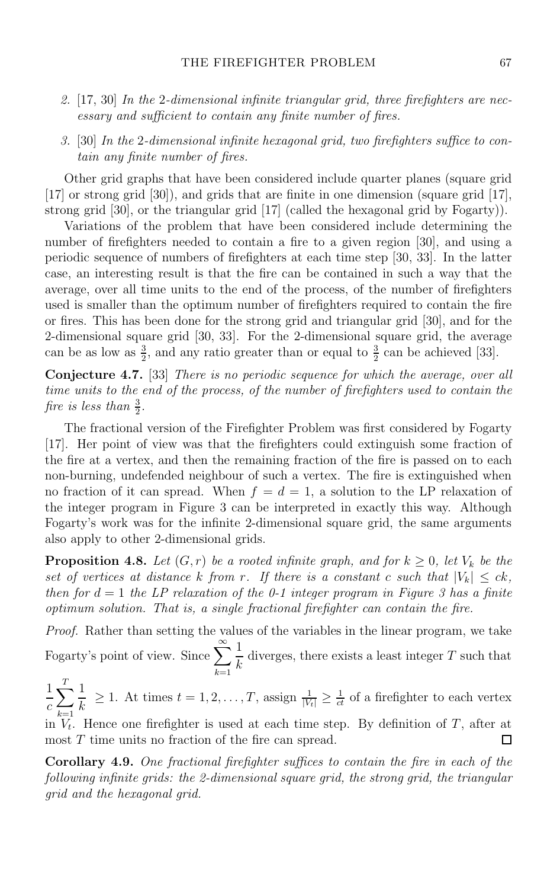- 2.  $[17, 30]$  In the 2-dimensional infinite triangular grid, three firefighters are necessary and sufficient to contain any finite number of fires.
- 3. [30] In the 2-dimensional infinite hexagonal grid, two firefighters suffice to contain any finite number of fires.

Other grid graphs that have been considered include quarter planes (square grid [17] or strong grid [30]), and grids that are finite in one dimension (square grid [17], strong grid [30], or the triangular grid [17] (called the hexagonal grid by Fogarty)).

Variations of the problem that have been considered include determining the number of firefighters needed to contain a fire to a given region [30], and using a periodic sequence of numbers of firefighters at each time step [30, 33]. In the latter case, an interesting result is that the fire can be contained in such a way that the average, over all time units to the end of the process, of the number of firefighters used is smaller than the optimum number of firefighters required to contain the fire or fires. This has been done for the strong grid and triangular grid [30], and for the 2-dimensional square grid [30, 33]. For the 2-dimensional square grid, the average can be as low as  $\frac{3}{2}$ , and any ratio greater than or equal to  $\frac{3}{2}$  can be achieved [33].

**Conjecture 4.7.** [33] There is no periodic sequence for which the average, over all time units to the end of the process, of the number of firefighters used to contain the fire is less than  $\frac{3}{2}$ .

The fractional version of the Firefighter Problem was first considered by Fogarty [17]. Her point of view was that the firefighters could extinguish some fraction of the fire at a vertex, and then the remaining fraction of the fire is passed on to each non-burning, undefended neighbour of such a vertex. The fire is extinguished when no fraction of it can spread. When  $f = d = 1$ , a solution to the LP relaxation of the integer program in Figure 3 can be interpreted in exactly this way. Although Fogarty's work was for the infinite 2-dimensional square grid, the same arguments also apply to other 2-dimensional grids.

**Proposition 4.8.** Let  $(G, r)$  be a rooted infinite graph, and for  $k \geq 0$ , let  $V_k$  be the set of vertices at distance k from r. If there is a constant c such that  $|V_k| \leq ck$ , then for  $d = 1$  the LP relaxation of the 0-1 integer program in Figure 3 has a finite optimum solution. That is, a single fractional firefighter can contain the fire.

Proof. Rather than setting the values of the variables in the linear program, we take Fogarty's point of view. Since  $\sum_{n=1}^{\infty}$  $\frac{1}{k}$  diverges, there exists a least integer T such that

*<sup>k</sup>*=1 1  $\frac{1}{c}\sum_{k=1}^{T} \frac{1}{k} \geq 1$ . At times  $t = 1, 2, ..., T$ , assign  $\frac{1}{|V_t|} \geq \frac{1}{ct}$  of a firefighter to each vertex

 $\lim_{k \to 1} V_t$ . Hence one firefighter is used at each time step. By definition of T, after at most T time units no fraction of the fire can spread.  $\Box$ 

**Corollary 4.9.** One fractional firefighter suffices to contain the fire in each of the following infinite grids: the 2-dimensional square grid, the strong grid, the triangular grid and the hexagonal grid.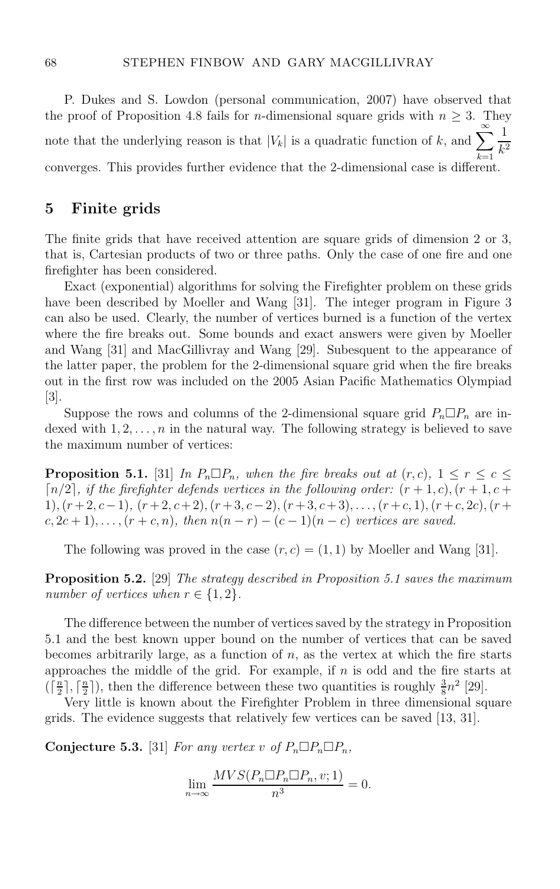P. Dukes and S. Lowdon (personal communication, 2007) have observed that the proof of Proposition 4.8 fails for *n*-dimensional square grids with  $n \geq 3$ . They note that the underlying reason is that  $|V_k|$  is a quadratic function of k, and  $\sum_{k=1}^{\infty} \frac{1}{k^k}$ converges. This provides further evidence that the 2-dimensional case is different.  $k^2$ 

## **5 Finite grids**

The finite grids that have received attention are square grids of dimension 2 or 3, that is, Cartesian products of two or three paths. Only the case of one fire and one firefighter has been considered.

Exact (exponential) algorithms for solving the Firefighter problem on these grids have been described by Moeller and Wang [31]. The integer program in Figure 3 can also be used. Clearly, the number of vertices burned is a function of the vertex where the fire breaks out. Some bounds and exact answers were given by Moeller and Wang [31] and MacGillivray and Wang [29]. Subesquent to the appearance of the latter paper, the problem for the 2-dimensional square grid when the fire breaks out in the first row was included on the 2005 Asian Pacific Mathematics Olympiad [3].

Suppose the rows and columns of the 2-dimensional square grid  $P_n \Box P_n$  are indexed with  $1, 2, \ldots, n$  in the natural way. The following strategy is believed to save the maximum number of vertices:

**Proposition 5.1.** [31] In  $P_n \square P_n$ , when the fire breaks out at  $(r, c)$ ,  $1 \le r \le c \le$  $\lceil n/2 \rceil$ , if the firefighter defends vertices in the following order:  $(r + 1, c)$ ,  $(r + 1, c + 1)$ 1),  $(r+2, c-1)$ ,  $(r+2, c+2)$ ,  $(r+3, c-2)$ ,  $(r+3, c+3)$ ,..., $(r+c, 1)$ ,  $(r+c, 2c)$ ,  $(r+1)$  $c, 2c+1), \ldots, (r+c, n),$  then  $n(n-r) - (c-1)(n-c)$  vertices are saved.

The following was proved in the case  $(r, c) = (1, 1)$  by Moeller and Wang [31].

**Proposition 5.2.** [29] The strategy described in Proposition 5.1 saves the maximum number of vertices when  $r \in \{1, 2\}$ .

The difference between the number of vertices saved by the strategy in Proposition 5.1 and the best known upper bound on the number of vertices that can be saved becomes arbitrarily large, as a function of  $n$ , as the vertex at which the fire starts approaches the middle of the grid. For example, if  $n$  is odd and the fire starts at  $(\lceil \frac{n}{2} \rceil, \lceil \frac{n}{2} \rceil)$ , then the difference between these two quantities is roughly  $\frac{3}{8}n^2$  [29].<br>Very little is known about the Firefighter Problem in three dimensional so

Very little is known about the Firefighter Problem in three dimensional square grids. The evidence suggests that relatively few vertices can be saved [13, 31].

**Conjecture 5.3.** [31] For any vertex v of  $P_n \Box P_n \Box P_n$ ,

$$
\lim_{n \to \infty} \frac{MVS(P_n \Box P_n \Box P_n, v; 1)}{n^3} = 0.
$$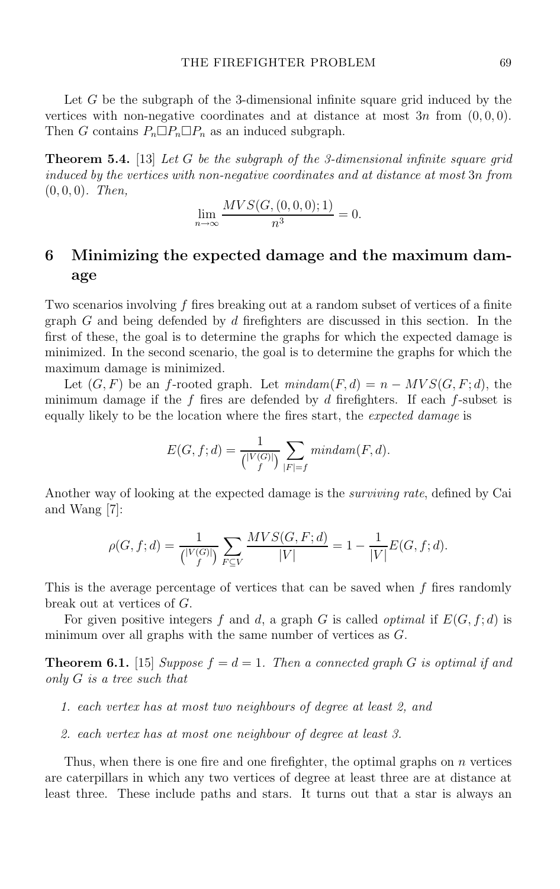Let G be the subgraph of the 3-dimensional infinite square grid induced by the vertices with non-negative coordinates and at distance at most  $3n$  from  $(0, 0, 0)$ . Then G contains  $P_n \Box P_n \Box P_n$  as an induced subgraph.

**Theorem 5.4.** [13] Let G be the subgraph of the 3-dimensional infinite square grid induced by the vertices with non-negative coordinates and at distance at most 3n from  $(0, 0, 0)$ . Then,

$$
\lim_{n \to \infty} \frac{MVS(G, (0, 0, 0); 1)}{n^3} = 0.
$$

# **6 Minimizing the expected damage and the maximum damage**

Two scenarios involving  $f$  fires breaking out at a random subset of vertices of a finite graph G and being defended by d firefighters are discussed in this section. In the first of these, the goal is to determine the graphs for which the expected damage is minimized. In the second scenario, the goal is to determine the graphs for which the maximum damage is minimized.

Let  $(G, F)$  be an f-rooted graph. Let  $mindam(F, d) = n - MVS(G, F; d)$ , the minimum damage if the  $f$  fires are defended by  $d$  firefighters. If each  $f$ -subset is equally likely to be the location where the fires start, the expected damage is

$$
E(G, f; d) = \frac{1}{\binom{|V(G)|}{f}} \sum_{|F|=f} mindam(F, d).
$$

Another way of looking at the expected damage is the surviving rate, defined by Cai and Wang [7]:

$$
\rho(G, f; d) = \frac{1}{\binom{|V(G)|}{f}} \sum_{F \subseteq V} \frac{MVS(G, F; d)}{|V|} = 1 - \frac{1}{|V|}E(G, f; d).
$$

This is the average percentage of vertices that can be saved when  $f$  fires randomly break out at vertices of G.

For given positive integers f and d, a graph G is called *optimal* if  $E(G, f; d)$  is minimum over all graphs with the same number of vertices as  $G$ .

**Theorem 6.1.** [15] Suppose  $f = d = 1$ . Then a connected graph G is optimal if and only G is a tree such that

- 1. each vertex has at most two neighbours of degree at least 2, and
- 2. each vertex has at most one neighbour of degree at least 3.

Thus, when there is one fire and one firefighter, the optimal graphs on  $n$  vertices are caterpillars in which any two vertices of degree at least three are at distance at least three. These include paths and stars. It turns out that a star is always an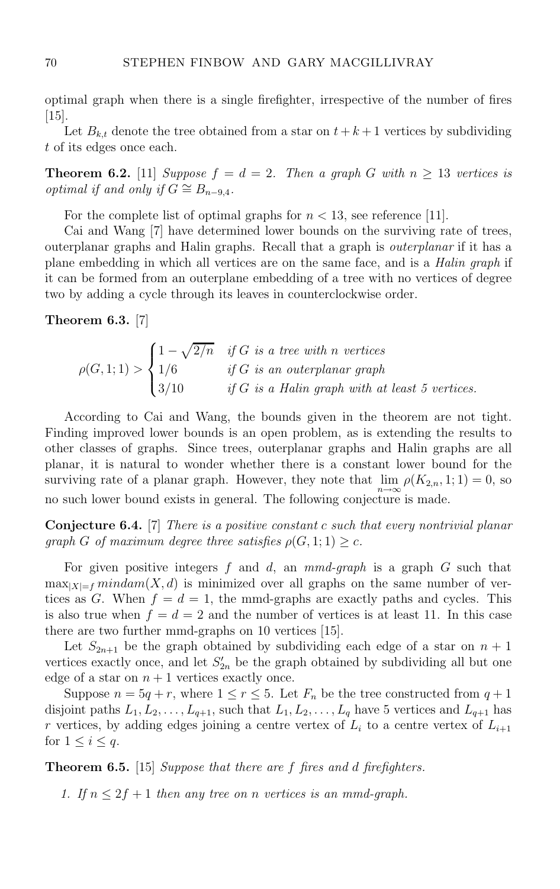optimal graph when there is a single firefighter, irrespective of the number of fires [15].

Let  $B_{k,t}$  denote the tree obtained from a star on  $t + k + 1$  vertices by subdividing t of its edges once each.

**Theorem 6.2.** [11] Suppose  $f = d = 2$ . Then a graph G with  $n \geq 13$  vertices is optimal if and only if  $G \cong B_{n-9,4}$ .

For the complete list of optimal graphs for  $n < 13$ , see reference [11].

Cai and Wang [7] have determined lower bounds on the surviving rate of trees, outerplanar graphs and Halin graphs. Recall that a graph is outerplanar if it has a plane embedding in which all vertices are on the same face, and is a Halin graph if it can be formed from an outerplane embedding of a tree with no vertices of degree two by adding a cycle through its leaves in counterclockwise order.

#### **Theorem 6.3.** [7]

$$
\rho(G,1;1) > \begin{cases} 1 - \sqrt{2/n} & \text{if } G \text{ is a tree with } n \text{ vertices} \\ 1/6 & \text{if } G \text{ is an outerplanar graph} \\ 3/10 & \text{if } G \text{ is a Halin graph with at least 5 vertices.} \end{cases}
$$

According to Cai and Wang, the bounds given in the theorem are not tight. Finding improved lower bounds is an open problem, as is extending the results to other classes of graphs. Since trees, outerplanar graphs and Halin graphs are all planar, it is natural to wonder whether there is a constant lower bound for the surviving rate of a planar graph. However, they note that  $\lim_{n \to \infty} \rho(K_{2,n}, 1; 1) = 0$ , so no such lower bound exists in general. The following conjecture is made.

**Conjecture 6.4.** [7] There is a positive constant c such that every nontrivial planar qraph G of maximum degree three satisfies  $\rho(G, 1; 1) > c$ .

For given positive integers  $f$  and  $d$ , an  $mmd\text{-}graph$  is a graph  $G$  such that  $\max_{|X|=f} \min \text{diam}(X, d)$  is minimized over all graphs on the same number of vertices as G. When  $f = d = 1$ , the mmd-graphs are exactly paths and cycles. This is also true when  $f = d = 2$  and the number of vertices is at least 11. In this case there are two further mmd-graphs on 10 vertices [15].

Let  $S_{2n+1}$  be the graph obtained by subdividing each edge of a star on  $n+1$ vertices exactly once, and let  $S'_{2n}$  be the graph obtained by subdividing all but one edge of a star on  $n + 1$  vertices exactly once.

Suppose  $n = 5q + r$ , where  $1 \le r \le 5$ . Let  $F_n$  be the tree constructed from  $q + 1$ disjoint paths  $L_1, L_2, \ldots, L_{q+1}$ , such that  $L_1, L_2, \ldots, L_q$  have 5 vertices and  $L_{q+1}$  has r vertices, by adding edges joining a centre vertex of  $L_i$  to a centre vertex of  $L_{i+1}$ for  $1 \leq i \leq q$ .

**Theorem 6.5.** [15] Suppose that there are f fires and d firefighters.

1. If  $n \leq 2f + 1$  then any tree on n vertices is an mmd-graph.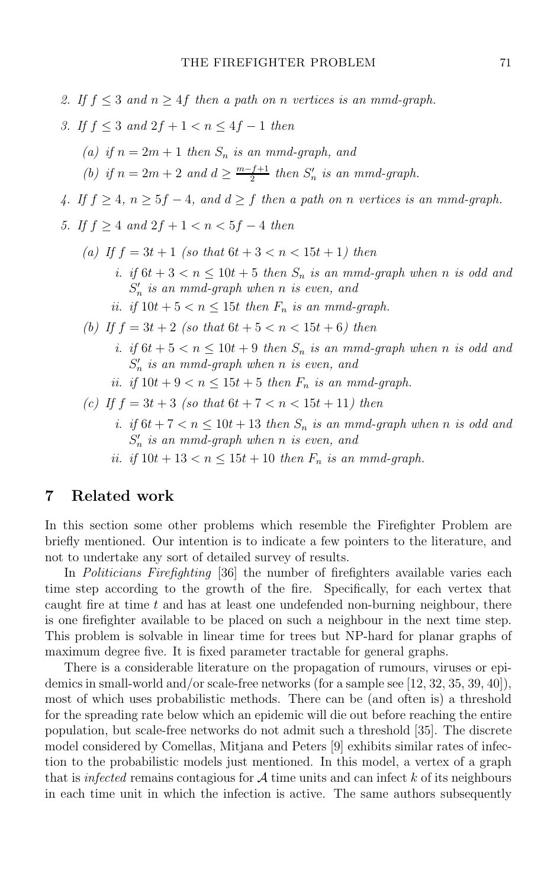2. If  $f \leq 3$  and  $n \geq 4f$  then a path on n vertices is an mmd-graph. 3. If  $f \leq 3$  and  $2f + 1 \leq n \leq 4f - 1$  then (a) if  $n = 2m + 1$  then  $S_n$  is an mmd-graph, and (b) if  $n = 2m + 2$  and  $d \ge \frac{m-f+1}{2}$  then  $S'_n$  is an mmd-graph. 4. If  $f \geq 4$ ,  $n \geq 5f - 4$ , and  $d \geq f$  then a path on n vertices is an mmd-graph. 5. If  $f > 4$  and  $2f + 1 < n < 5f - 4$  then (a) If  $f = 3t + 1$  (so that  $6t + 3 < n < 15t + 1$ ) then i. if  $6t + 3 < n \leq 10t + 5$  then  $S_n$  is an mmd-graph when n is odd and  $S_n'$  is an mmd-graph when n is even, and ii. if  $10t + 5 < n < 15t$  then  $F_n$  is an mmd-graph. (b) If  $f = 3t + 2$  (so that  $6t + 5 < n < 15t + 6$ ) then i. if  $6t + 5 < n \leq 10t + 9$  then  $S_n$  is an mmd-graph when n is odd and  $S_n'$  is an mmd-graph when n is even, and ii. if  $10t + 9 < n \leq 15t + 5$  then  $F_n$  is an mmd-graph. (c) If  $f = 3t + 3$  (so that  $6t + 7 < n < 15t + 11$ ) then i. if  $6t + 7 < n \leq 10t + 13$  then  $S_n$  is an mmd-graph when n is odd and  $S_n'$  is an mmd-graph when n is even, and ii. if  $10t + 13 < n \leq 15t + 10$  then  $F_n$  is an mmd-graph.

#### **7 Related work**

In this section some other problems which resemble the Firefighter Problem are briefly mentioned. Our intention is to indicate a few pointers to the literature, and not to undertake any sort of detailed survey of results.

In Politicians Firefighting [36] the number of firefighters available varies each time step according to the growth of the fire. Specifically, for each vertex that caught fire at time  $t$  and has at least one undefended non-burning neighbour, there is one firefighter available to be placed on such a neighbour in the next time step. This problem is solvable in linear time for trees but NP-hard for planar graphs of maximum degree five. It is fixed parameter tractable for general graphs.

There is a considerable literature on the propagation of rumours, viruses or epidemics in small-world and/or scale-free networks (for a sample see [12, 32, 35, 39, 40]), most of which uses probabilistic methods. There can be (and often is) a threshold for the spreading rate below which an epidemic will die out before reaching the entire population, but scale-free networks do not admit such a threshold [35]. The discrete model considered by Comellas, Mitjana and Peters [9] exhibits similar rates of infection to the probabilistic models just mentioned. In this model, a vertex of a graph that is infected remains contagious for  $A$  time units and can infect  $k$  of its neighbours in each time unit in which the infection is active. The same authors subsequently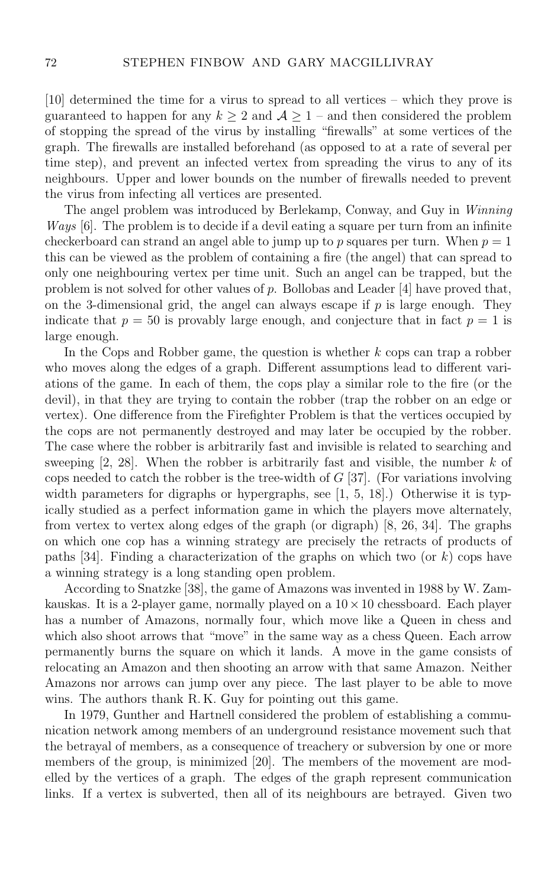[10] determined the time for a virus to spread to all vertices – which they prove is guaranteed to happen for any  $k \geq 2$  and  $A \geq 1$  – and then considered the problem of stopping the spread of the virus by installing "firewalls" at some vertices of the graph. The firewalls are installed beforehand (as opposed to at a rate of several per time step), and prevent an infected vertex from spreading the virus to any of its neighbours. Upper and lower bounds on the number of firewalls needed to prevent the virus from infecting all vertices are presented.

The angel problem was introduced by Berlekamp, Conway, and Guy in Winning Ways [6]. The problem is to decide if a devil eating a square per turn from an infinite checkerboard can strand an angel able to jump up to p squares per turn. When  $p = 1$ this can be viewed as the problem of containing a fire (the angel) that can spread to only one neighbouring vertex per time unit. Such an angel can be trapped, but the problem is not solved for other values of p. Bollobas and Leader [4] have proved that, on the 3-dimensional grid, the angel can always escape if  $p$  is large enough. They indicate that  $p = 50$  is provably large enough, and conjecture that in fact  $p = 1$  is large enough.

In the Cops and Robber game, the question is whether  $k$  cops can trap a robber who moves along the edges of a graph. Different assumptions lead to different variations of the game. In each of them, the cops play a similar role to the fire (or the devil), in that they are trying to contain the robber (trap the robber on an edge or vertex). One difference from the Firefighter Problem is that the vertices occupied by the cops are not permanently destroyed and may later be occupied by the robber. The case where the robber is arbitrarily fast and invisible is related to searching and sweeping  $[2, 28]$ . When the robber is arbitrarily fast and visible, the number k of cops needed to catch the robber is the tree-width of  $G$  [37]. (For variations involving width parameters for digraphs or hypergraphs, see [1, 5, 18].) Otherwise it is typically studied as a perfect information game in which the players move alternately, from vertex to vertex along edges of the graph (or digraph) [8, 26, 34]. The graphs on which one cop has a winning strategy are precisely the retracts of products of paths [34]. Finding a characterization of the graphs on which two (or  $k$ ) cops have a winning strategy is a long standing open problem.

According to Snatzke [38], the game of Amazons was invented in 1988 by W. Zamkauskas. It is a 2-player game, normally played on a  $10 \times 10$  chessboard. Each player has a number of Amazons, normally four, which move like a Queen in chess and which also shoot arrows that "move" in the same way as a chess Queen. Each arrow permanently burns the square on which it lands. A move in the game consists of relocating an Amazon and then shooting an arrow with that same Amazon. Neither Amazons nor arrows can jump over any piece. The last player to be able to move wins. The authors thank R. K. Guy for pointing out this game.

In 1979, Gunther and Hartnell considered the problem of establishing a communication network among members of an underground resistance movement such that the betrayal of members, as a consequence of treachery or subversion by one or more members of the group, is minimized [20]. The members of the movement are modelled by the vertices of a graph. The edges of the graph represent communication links. If a vertex is subverted, then all of its neighbours are betrayed. Given two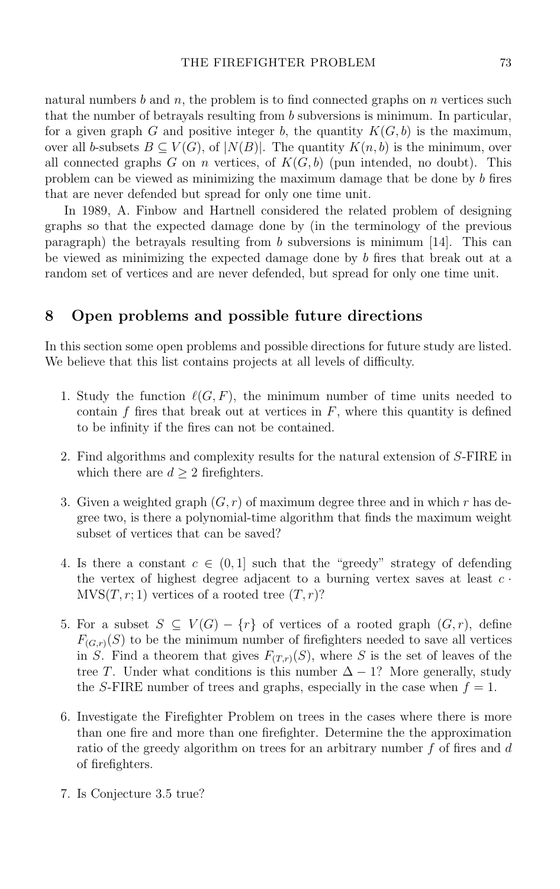natural numbers b and n, the problem is to find connected graphs on n vertices such that the number of betrayals resulting from b subversions is minimum. In particular, for a given graph G and positive integer b, the quantity  $K(G, b)$  is the maximum, over all b-subsets  $B \subseteq V(G)$ , of  $|N(B)|$ . The quantity  $K(n, b)$  is the minimum, over all connected graphs G on n vertices, of  $K(G, b)$  (pun intended, no doubt). This problem can be viewed as minimizing the maximum damage that be done by b fires that are never defended but spread for only one time unit.

In 1989, A. Finbow and Hartnell considered the related problem of designing graphs so that the expected damage done by (in the terminology of the previous paragraph) the betravals resulting from b subversions is minimum  $[14]$ . This can be viewed as minimizing the expected damage done by b fires that break out at a random set of vertices and are never defended, but spread for only one time unit.

### **8 Open problems and possible future directions**

In this section some open problems and possible directions for future study are listed. We believe that this list contains projects at all levels of difficulty.

- 1. Study the function  $\ell(G, F)$ , the minimum number of time units needed to contain  $f$  fires that break out at vertices in  $F$ , where this quantity is defined to be infinity if the fires can not be contained.
- 2. Find algorithms and complexity results for the natural extension of S-FIRE in which there are  $d \geq 2$  firefighters.
- 3. Given a weighted graph  $(G, r)$  of maximum degree three and in which r has degree two, is there a polynomial-time algorithm that finds the maximum weight subset of vertices that can be saved?
- 4. Is there a constant  $c \in (0,1]$  such that the "greedy" strategy of defending the vertex of highest degree adjacent to a burning vertex saves at least  $c \cdot$  $MVS(T, r; 1)$  vertices of a rooted tree  $(T, r)$ ?
- 5. For a subset  $S \subseteq V(G) \{r\}$  of vertices of a rooted graph  $(G, r)$ , define  $F_{(G,r)}(S)$  to be the minimum number of firefighters needed to save all vertices in S. Find a theorem that gives  $F_{(T,r)}(S)$ , where S is the set of leaves of the tree T. Under what conditions is this number  $\Delta - 1$ ? More generally, study the S-FIRE number of trees and graphs, especially in the case when  $f = 1$ .
- 6. Investigate the Firefighter Problem on trees in the cases where there is more than one fire and more than one firefighter. Determine the the approximation ratio of the greedy algorithm on trees for an arbitrary number  $f$  of fires and  $d$ of firefighters.
- 7. Is Conjecture 3.5 true?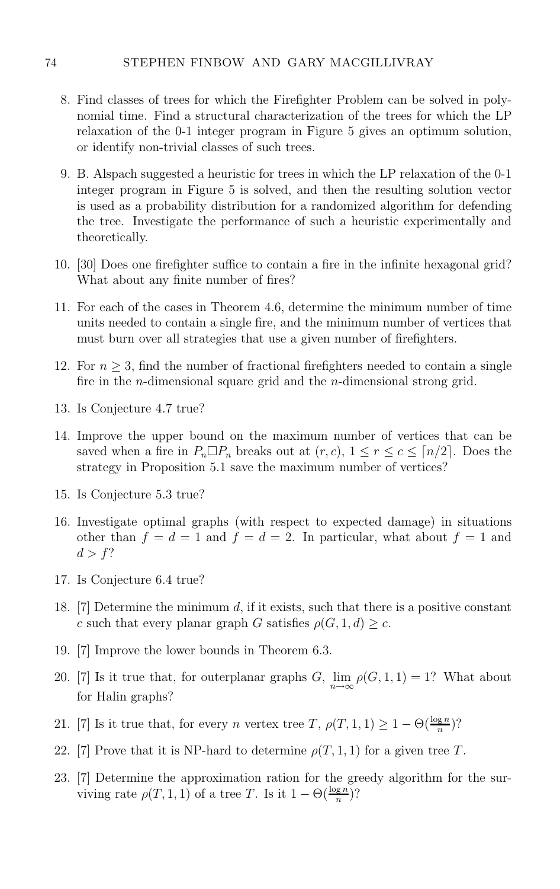- 8. Find classes of trees for which the Firefighter Problem can be solved in polynomial time. Find a structural characterization of the trees for which the LP relaxation of the 0-1 integer program in Figure 5 gives an optimum solution, or identify non-trivial classes of such trees.
- 9. B. Alspach suggested a heuristic for trees in which the LP relaxation of the 0-1 integer program in Figure 5 is solved, and then the resulting solution vector is used as a probability distribution for a randomized algorithm for defending the tree. Investigate the performance of such a heuristic experimentally and theoretically.
- 10. [30] Does one firefighter suffice to contain a fire in the infinite hexagonal grid? What about any finite number of fires?
- 11. For each of the cases in Theorem 4.6, determine the minimum number of time units needed to contain a single fire, and the minimum number of vertices that must burn over all strategies that use a given number of firefighters.
- 12. For  $n \geq 3$ , find the number of fractional firefighters needed to contain a single fire in the n-dimensional square grid and the n-dimensional strong grid.
- 13. Is Conjecture 4.7 true?
- 14. Improve the upper bound on the maximum number of vertices that can be saved when a fire in  $P_n \Box P_n$  breaks out at  $(r, c)$ ,  $1 \le r \le c \le \lceil n/2 \rceil$ . Does the strategy in Proposition 5.1 save the maximum number of vertices?
- 15. Is Conjecture 5.3 true?
- 16. Investigate optimal graphs (with respect to expected damage) in situations other than  $f = d = 1$  and  $f = d = 2$ . In particular, what about  $f = 1$  and  $d>f$ ?
- 17. Is Conjecture 6.4 true?
- 18. [7] Determine the minimum d, if it exists, such that there is a positive constant c such that every planar graph G satisfies  $\rho(G, 1, d) \geq c$ .
- 19. [7] Improve the lower bounds in Theorem 6.3.
- 20. [7] Is it true that, for outerplanar graphs  $G$ ,  $\lim_{n \to \infty} \rho(G, 1, 1) = 1$ ? What about for Halin graphs?
- 21. [7] Is it true that, for every *n* vertex tree T,  $\rho(T, 1, 1) \geq 1 \Theta(\frac{\log n}{n})$ ?
- 22. [7] Prove that it is NP-hard to determine  $\rho(T, 1, 1)$  for a given tree T.
- 23. [7] Determine the approximation ration for the greedy algorithm for the surviving rate  $\rho(T, 1, 1)$  of a tree T. Is it  $1 - \Theta(\frac{\log n}{n})$ ?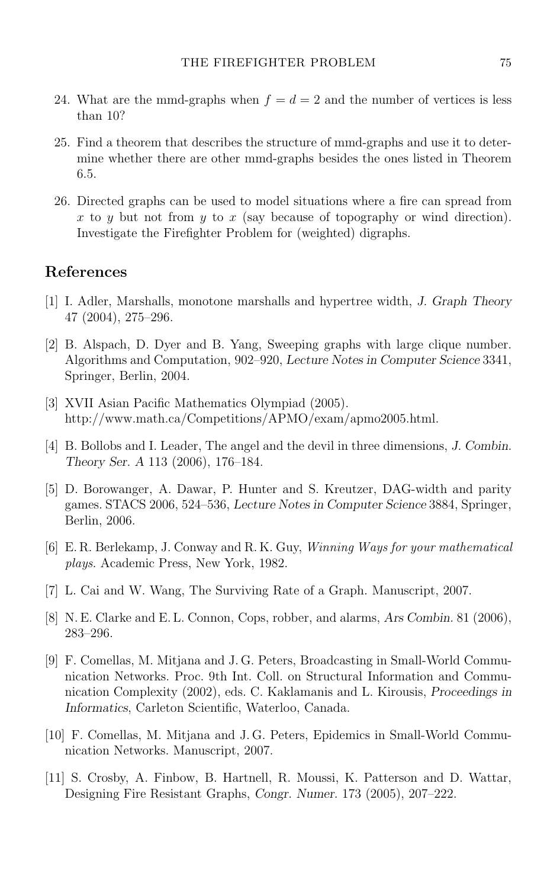- 24. What are the mmd-graphs when  $f = d = 2$  and the number of vertices is less than 10?
- 25. Find a theorem that describes the structure of mmd-graphs and use it to determine whether there are other mmd-graphs besides the ones listed in Theorem 6.5.
- 26. Directed graphs can be used to model situations where a fire can spread from x to y but not from y to x (say because of topography or wind direction). Investigate the Firefighter Problem for (weighted) digraphs.

### **References**

- [1] I. Adler, Marshalls, monotone marshalls and hypertree width, *J. Graph Theory* 47 (2004), 275–296.
- [2] B. Alspach, D. Dyer and B. Yang, Sweeping graphs with large clique number. Algorithms and Computation, 902–920, *Lecture Notes in Computer Science* 3341, Springer, Berlin, 2004.
- [3] XVII Asian Pacific Mathematics Olympiad (2005). http://www.math.ca/Competitions/APMO/exam/apmo2005.html.
- [4] B. Bollobs and I. Leader, The angel and the devil in three dimensions, *J. Combin. Theory Ser. A* 113 (2006), 176–184.
- [5] D. Borowanger, A. Dawar, P. Hunter and S. Kreutzer, DAG-width and parity games. STACS 2006, 524–536, *Lecture Notes in Computer Science* 3884, Springer, Berlin, 2006.
- [6] E. R. Berlekamp, J. Conway and R. K. Guy, Winning Ways for your mathematical plays. Academic Press, New York, 1982.
- [7] L. Cai and W. Wang, The Surviving Rate of a Graph. Manuscript, 2007.
- [8] N. E. Clarke and E. L. Connon, Cops, robber, and alarms, *Ars Combin.* 81 (2006), 283–296.
- [9] F. Comellas, M. Mitjana and J. G. Peters, Broadcasting in Small-World Communication Networks. Proc. 9th Int. Coll. on Structural Information and Communication Complexity (2002), eds. C. Kaklamanis and L. Kirousis, *Proceedings in Informatics*, Carleton Scientific, Waterloo, Canada.
- [10] F. Comellas, M. Mitjana and J. G. Peters, Epidemics in Small-World Communication Networks. Manuscript, 2007.
- [11] S. Crosby, A. Finbow, B. Hartnell, R. Moussi, K. Patterson and D. Wattar, Designing Fire Resistant Graphs, *Congr. Numer.* 173 (2005), 207–222.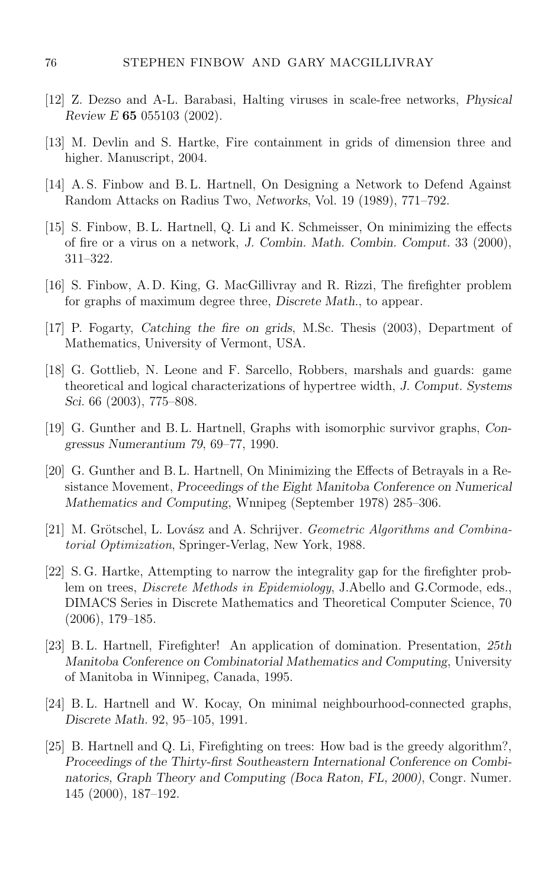- [12] Z. Dezso and A-L. Barabasi, Halting viruses in scale-free networks, *Physical Review E* **65** 055103 (2002).
- [13] M. Devlin and S. Hartke, Fire containment in grids of dimension three and higher. Manuscript, 2004.
- [14] A. S. Finbow and B. L. Hartnell, On Designing a Network to Defend Against Random Attacks on Radius Two, *Networks*, Vol. 19 (1989), 771–792.
- [15] S. Finbow, B. L. Hartnell, Q. Li and K. Schmeisser, On minimizing the effects of fire or a virus on a network, *J. Combin. Math. Combin. Comput.* 33 (2000), 311–322.
- [16] S. Finbow, A. D. King, G. MacGillivray and R. Rizzi, The firefighter problem for graphs of maximum degree three, *Discrete Math.*, to appear.
- [17] P. Fogarty, *Catching the fire on grids*, M.Sc. Thesis (2003), Department of Mathematics, University of Vermont, USA.
- [18] G. Gottlieb, N. Leone and F. Sarcello, Robbers, marshals and guards: game theoretical and logical characterizations of hypertree width, *J. Comput. Systems Sci.* 66 (2003), 775–808.
- [19] G. Gunther and B. L. Hartnell, Graphs with isomorphic survivor graphs, *Congressus Numerantium 79*, 69–77, 1990.
- [20] G. Gunther and B. L. Hartnell, On Minimizing the Effects of Betrayals in a Resistance Movement, *Proceedings of the Eight Manitoba Conference on Numerical Mathematics and Computing*, Wnnipeg (September 1978) 285–306.
- $[21]$  M. Grötschel, L. Lovász and A. Schrijver. *Geometric Algorithms and Combina*torial Optimization, Springer-Verlag, New York, 1988.
- [22] S. G. Hartke, Attempting to narrow the integrality gap for the firefighter problem on trees, Discrete Methods in Epidemiology, J.Abello and G.Cormode, eds., DIMACS Series in Discrete Mathematics and Theoretical Computer Science, 70 (2006), 179–185.
- [23] B. L. Hartnell, Firefighter! An application of domination. Presentation, *25th Manitoba Conference on Combinatorial Mathematics and Computing*, University of Manitoba in Winnipeg, Canada, 1995.
- [24] B.L. Hartnell and W. Kocay, On minimal neighbourhood-connected graphs, *Discrete Math.* 92, 95–105, 1991.
- [25] B. Hartnell and Q. Li, Firefighting on trees: How bad is the greedy algorithm?, *Proceedings of the Thirty-first Southeastern International Conference on Combinatorics, Graph Theory and Computing (Boca Raton, FL, 2000)*, Congr. Numer. 145 (2000), 187–192.